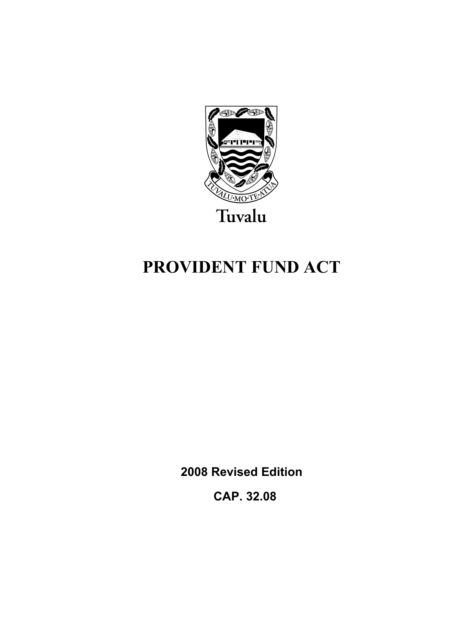

# **PROVIDENT FUND ACT**

**2008 Revised Edition** 

 **CAP. 32.08**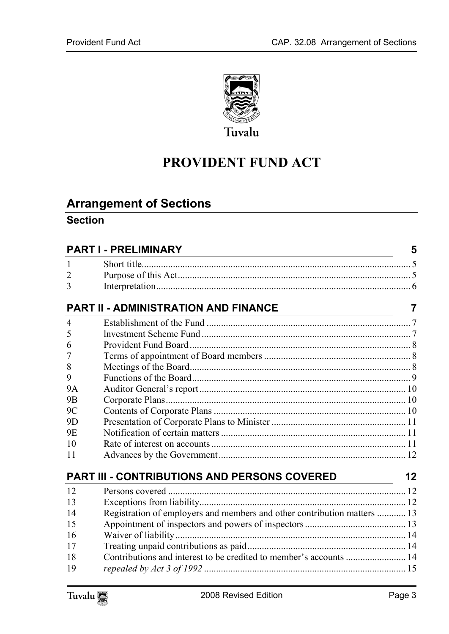

# **PROVIDENT FUND ACT**

# **Arrange[ment of Sections](#page-4-1)**

### **Section**

| <b>PART I - PRELIMINARY</b> |                                                                          |                |  |
|-----------------------------|--------------------------------------------------------------------------|----------------|--|
| 1                           |                                                                          |                |  |
| 2                           |                                                                          |                |  |
| 3                           |                                                                          |                |  |
|                             | <b>PART II - ADMINISTRATION AND FINANCE</b>                              | $\overline{7}$ |  |
| $\overline{4}$              |                                                                          |                |  |
| 5                           |                                                                          |                |  |
| 6                           |                                                                          |                |  |
| 7                           |                                                                          |                |  |
| 8                           |                                                                          |                |  |
| 9                           |                                                                          |                |  |
| <b>9A</b>                   |                                                                          |                |  |
| 9 <sub>B</sub>              |                                                                          |                |  |
| 9C                          |                                                                          |                |  |
| 9D                          |                                                                          |                |  |
| 9E                          |                                                                          |                |  |
| 10                          |                                                                          |                |  |
| 11                          |                                                                          |                |  |
|                             | <b>PART III - CONTRIBUTIONS AND PERSONS COVERED</b>                      | 12             |  |
| 12                          |                                                                          |                |  |
| 13                          |                                                                          |                |  |
| 14                          | Registration of employers and members and other contribution matters  13 |                |  |
| 15                          |                                                                          |                |  |
| 16                          |                                                                          |                |  |
| 17                          |                                                                          |                |  |
| 18                          | Contributions and interest to be credited to member's accounts  14       |                |  |
| 19                          |                                                                          |                |  |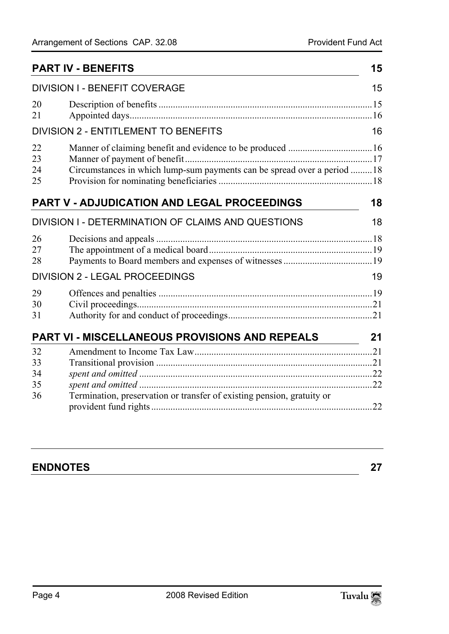| <b>PART IV - BENEFITS</b><br><b>DIVISION I - BENEFIT COVERAGE</b>                                |    |  |  |
|--------------------------------------------------------------------------------------------------|----|--|--|
|                                                                                                  |    |  |  |
| <b>DIVISION 2 - ENTITLEMENT TO BENEFITS</b>                                                      | 16 |  |  |
| 22<br>23<br>Circumstances in which lump-sum payments can be spread over a period  18<br>24<br>25 |    |  |  |
| PART V - ADJUDICATION AND LEGAL PROCEEDINGS                                                      | 18 |  |  |
| DIVISION I - DETERMINATION OF CLAIMS AND QUESTIONS                                               | 18 |  |  |
| 26<br>27<br>28                                                                                   |    |  |  |
| <b>DIVISION 2 - LEGAL PROCEEDINGS</b>                                                            | 19 |  |  |
| 29<br>30<br>31                                                                                   |    |  |  |
| PART VI - MISCELLANEOUS PROVISIONS AND REPEALS                                                   | 21 |  |  |
| 32<br>33<br>34<br>35                                                                             |    |  |  |
| Termination, preservation or transfer of existing pension, gratuity or<br>36                     | 22 |  |  |

| <b>ENDNOTES</b> |  |
|-----------------|--|
|-----------------|--|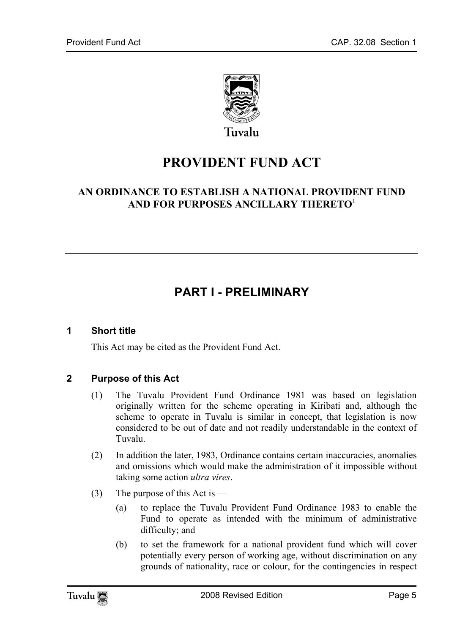

Tuvalu

# **PROVIDENT FUND ACT**

### **AN ORDINANCE TO ESTABLISH A NATIONAL PROVIDENT FUND AND FOR PURPOSES ANCILLARY THERETO**<sup>1</sup>

# <span id="page-4-1"></span><span id="page-4-0"></span>**PART I - PRELIMINARY**

#### **1 Short title**

This Act may be cited as the Provident Fund Act.

#### **2 Purpose of this Act**

- (1) The Tuvalu Provident Fund Ordinance 1981 was based on legislation originally written for the scheme operating in Kiribati and, although the scheme to operate in Tuvalu is similar in concept, that legislation is now considered to be out of date and not readily understandable in the context of Tuvalu.
- (2) In addition the later, 1983, Ordinance contains certain inaccuracies, anomalies and omissions which would make the administration of it impossible without taking some action *ultra vires*.
- (3) The purpose of this Act is
	- (a) to replace the Tuvalu Provident Fund Ordinance 1983 to enable the Fund to operate as intended with the minimum of administrative difficulty; and
	- (b) to set the framework for a national provident fund which will cover potentially every person of working age, without discrimination on any grounds of nationality, race or colour, for the contingencies in respect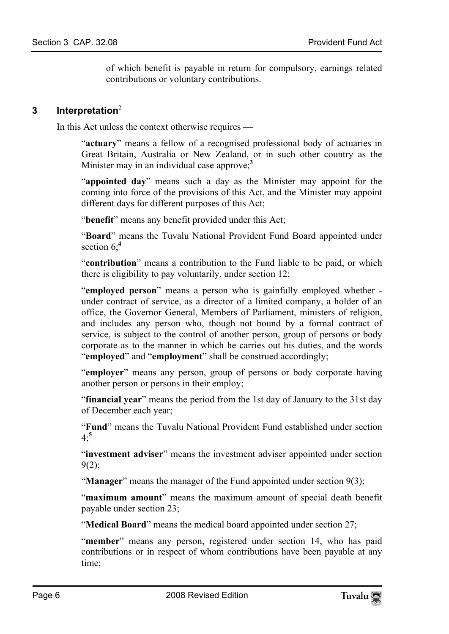of which benefit is payable in return for compulsory, earnings related contributions or voluntary contributions.

#### **3 Interpretation**<sup>2</sup>

In this Act unless the context otherwise requires —

"**actuary**" means a fellow of a recognised professional body of actuaries in Great Britain, Australia or New Zealand, or in such other country as the Minister may in an individual case approve;**<sup>3</sup>**

"**appointed day**" means such a day as the Minister may appoint for the coming into force of th[e p](#page-27-0)rovisions of this Act, and the Minister may appoint different days for different purposes of this Act;

"**benefit**" means any benefit provided under this Act;

"**Board**" means the Tuvalu National Provident Fund Board appointed under section 6;**<sup>4</sup>**

"**contribution**" means a contribution to the Fund liable to be paid, or which there is eligibility to pay voluntarily, under section 12;

"**employed person**" means a person who is gainfully employed whether under contract of service, as a director of a limited company, a holder of an office, the Governor General, Members of Parliament, ministers of religion, and includes any person who, though not bound by a formal contract of service, is subject to the control of another person, group of persons or body corporate as to the manner in which he carries out his duties, and the words "**employed**" and "**employment**" shall be construed accordingly;

"**employer**" means any person, group of persons or body corporate having another person o[r](#page-27-1) persons in their employ;

"**financial year**" means the period from the 1st day of January to the 31st day of December each year;

"**Fund**" means the Tuvalu National Provident Fund established under section  $4 \cdot 5$ 

"**investment adviser**" means the investment adviser appointed under section  $9(2);$ 

"**Manager**" means the manager of the Fund appointed under section 9(3);

"**maximum amount**" means the maximum amount of special death benefit payable under section 23;

"**Medical Board**" means the medical board appointed under section 27;

"member" means any person, registered under section 14, who has paid contributions or in respect of whom contributions have been payable at any time;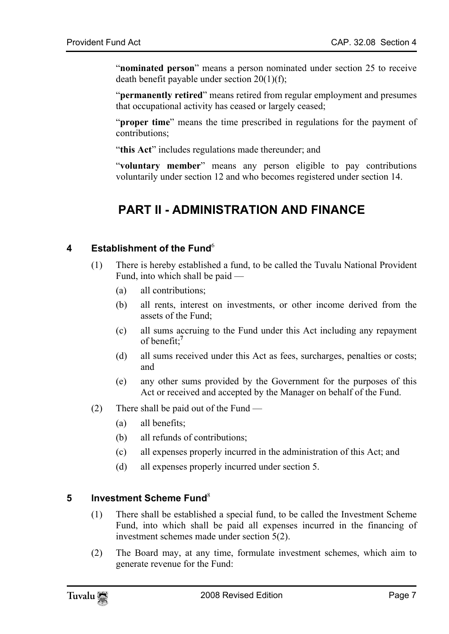"**nominated person**" means a person nominated under section 25 to receive death benefit payable under section 20(1)(f);

"**permanently retired**" means retired from regular employment and presumes that occupational activity has ceased or largely ceased;

"**proper time**" means the time prescribed in regulations for the payment of contributions;

<span id="page-6-0"></span>"**this Act**" includes regulations made thereunder; and

"**voluntary member**" means any person eligible to pay contributions voluntarily under section 12 and who becomes registered under section 14.

# <span id="page-6-1"></span>**PART II - ADMINISTRATION AND FINANCE**

#### **4** Establishment of the Fund<sup>6</sup>

- (1) There is hereby established a fund, to be called the Tuvalu National Provident Fund, into which shall be paid —
	- (a) all contributions;
	- (b) all rents, interest on investments, or other income derived from the assets of the Fund;
	- (c) all sums accruing to the Fund under this Act including any repayment of benefit;**<sup>7</sup>**
	- (d) all sums received under this Act as fees, surcharges, penalties or costs; and
	- (e) any other sums provided by the Government for the purposes of this Act or received and accepted by the Manager on behalf of the Fund.
- <span id="page-6-2"></span>(2) There shall be paid out of the Fund —
	- (a) all benefits;
	- (b) all refunds of contributions;
	- (c) all expenses properly incurred in the administration of this Act; and
	- (d) all expenses properly incurred under section 5.

#### **5 lnvestment Scheme Fund**<sup>8</sup>

- (1) There shall be established a special fund, to be called the Investment Scheme Fund, into which shall be paid all expenses incurred in the financing of investment schemes made under section 5(2).
- (2) The Board may, at any time, formulate investment schemes, which aim to generate revenue for the Fund: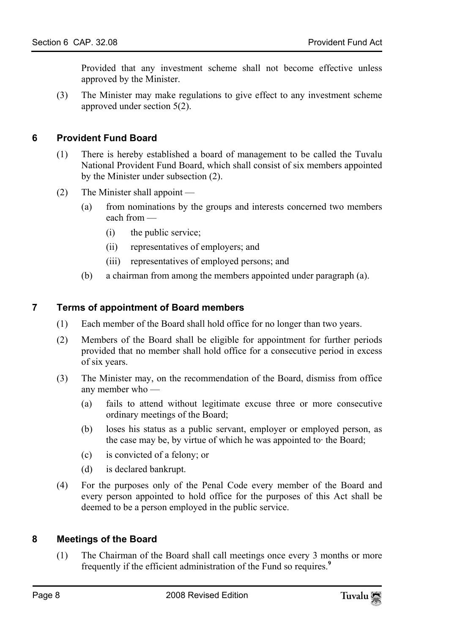<span id="page-7-0"></span>Provided that any investment scheme shall not become effective unless approved by the Minister.

(3) The Minister may make regulations to give effect to any investment scheme approved under section 5(2).

#### **6 Provident Fund Board**

- (1) There is hereby established a board of management to be called the Tuvalu National Provident Fund Board, which shall consist of six members appointed by the Minister under subsection (2).
- <span id="page-7-1"></span>(2) The Minister shall appoint —
	- (a) from nominations by the groups and interests concerned two members each from —
		- (i) the public service;
		- (ii) representatives of employers; and
		- (iii) representatives of employed persons; and
	- (b) a chairman from among the members appointed under paragraph (a).

#### **7 Terms of appointment of Board members**

- (1) Each member of the Board shall hold office for no longer than two years.
- (2) Members of the Board shall be eligible for appointment for further periods provided that no member shall hold office for a consecutive period in excess of six years.
- (3) The Minister may, on the recommendation of the Board, dismiss from office any member who —
	- (a) fails to attend without legitimate excuse three or more consecutive ordinary meetings of the Board;
	- (b) loses his status as a public servant, employer or employed person, as the case may be, by virtue of which he was appointed to· the Board;
	- (c) is convicted of a felony; or
	- (d) is declared bankrupt.
- <span id="page-7-2"></span>(4) For the purposes only of the Penal Code every member of the Board and every person appointed to hold office for the purposes of this Act shall be deemed to be a person employed in the public service.

#### **8 Meetings of the Board**

(1) The Chairman of the Board shall call meetings once every 3 months or more frequently if the efficient administration of the Fund so requires.**<sup>9</sup>**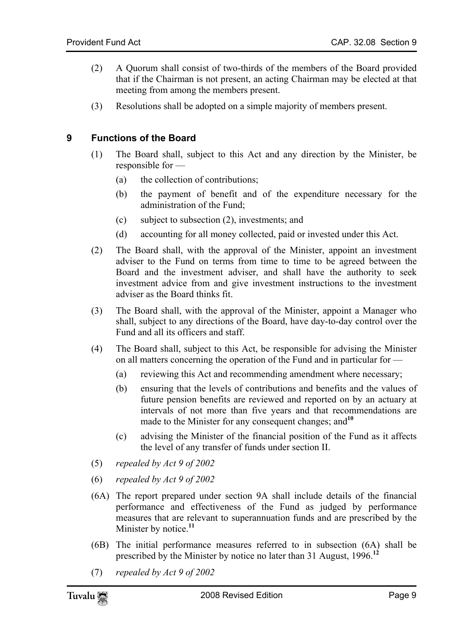- <span id="page-8-0"></span>(2) A Quorum shall consist of two-thirds of the members of the Board provided that if the Chairman is not present, an acting Chairman may be elected at that meeting from among the members present.
- (3) Resolutions shall be adopted on a simple majority of members present.

#### **9 Functions of the Board**

- (1) The Board shall, subject to this Act and any direction by the Minister, be responsible for —
	- (a) the collection of contributions;
	- (b) the payment of benefit and of the expenditure necessary for the administration of the Fund;
	- (c) subject to subsection (2), investments; and
	- (d) accounting for all money collected, paid or invested under this Act.
- (2) The Board shall, with the approval of the Minister, appoint an investment adviser to the Fund on terms from time to time to be agreed between the Board and the investment adviser, and shall have the authority to seek investment advice from and give investment instructions to the investment adviser as the Board thinks fit.
- (3) The Board shall, with the approval of the Minister, appoint a Manager who shall, subject to any directions of the Board, have day-to-day control over the Fund and all its officers and staff.
- (4) The Board shall, subject to this Act, be responsible for advising the Minister on all matters concerning the operation of the Fund and in particular for —
	- (a) reviewing this Act and recommending amendment where necessary;
	- (b) ensuring that the levels of contributions and benefits and the values of future pension benefits are reviewed and reported on by an actuary at intervals of not more than five years and that recommendations are made to the Minister for any consequent changes; and<sup>10</sup>
	- (c) advising the Minister of the financial position of the Fund as it affects the level of any transfer of funds under section II.
- (5) *repealed by Act 9 of 2002*
- (6) *repealed by Act 9 of 2002*
- (6A) The report prepared under section 9A shall include details of the financial performance and effectiveness of the Fund as judged by performance measures that are relevant to superannuation funds and are prescribed by the Minister by notice.<sup>11</sup>
- (6B) The initial performance measures referred to in subsection (6A) shall be prescribed by the Minister by notice no later than 31 August, 1996.**<sup>12</sup>**
- (7) *repealed by Act 9 of 2002*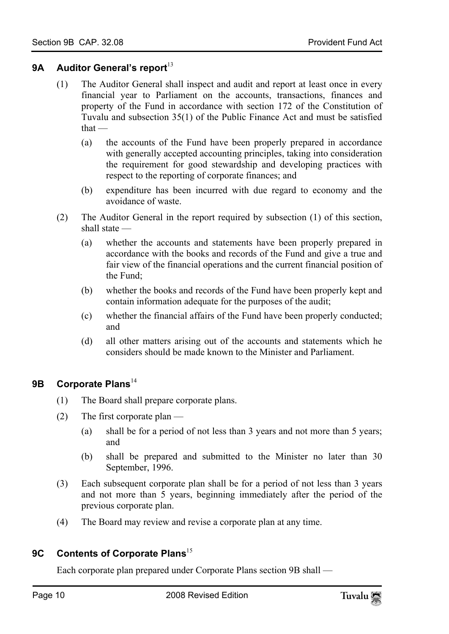#### <span id="page-9-0"></span>**9A** Auditor General's report<sup>13</sup>

- (1) The Auditor General shall inspect and audit and report at least once in every financial year to Parliament on the accounts, transactions, finances and property of the Fund in accordance with section 172 of the Constitution of Tuvalu and subsection 35(1) of the Public Finance Act and must be satisfied that —
	- (a) the accounts of the Fund have been properly prepared in accordance with generally accepted accounting principles, taking into consideration the requirement for good stewardship and developing practices with respect to the reporting of corporate finances; and
	- (b) expenditure has been incurred with due regard to economy and the avoidance of waste.
- (2) The Auditor General in the report required by subsection (1) of this section, shall state —
	- (a) whether the accounts and statements have been properly prepared in accordance with the books and records of the Fund and give a true and fair view of the financial operations and the current financial position of the Fund;
	- (b) whether the books and records of the Fund have been properly kept and contain information adequate for the purposes of the audit;
	- (c) whether the financial affairs of the Fund have been properly conducted; and
	- (d) all other matters arising out of the accounts and statements which he considers should be made known to the Minister and Parliament.

#### <span id="page-9-1"></span>**9B** Corporate Plans<sup>14</sup>

- (1) The Board shall prepare corporate plans.
- (2) The first corporate plan
	- (a) shall be for a period of not less than 3 years and not more than 5 years; and
	- (b) shall be prepared and submitted to the Minister no later than 30 September, 1996.
- <span id="page-9-2"></span>(3) Each subsequent corporate plan shall be for a period of not less than 3 years and not more than 5 years, beginning i[mm](#page-27-3)ediately after the period of the previous corporate plan.
- (4) The Board may review and revise a corporate plan at any time.

### **9C** Contents of Corporate Plans<sup>15</sup>

Each corporate plan prepared under Corporate Plans section 9B shall —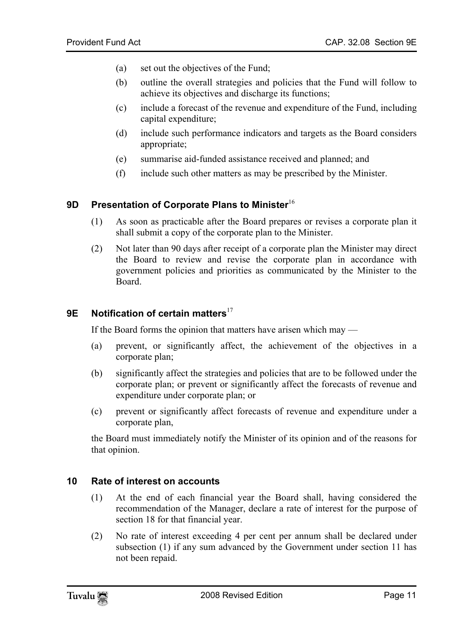- (a) set out the objectives of the Fund;
- (b) outline the overall strategies and policies that the Fund will follow to achieve its objectives and discharge its functions;
- (c) include a forecast of the revenue and expenditure of the Fund, including capital expenditure;
- (d) include such performance indicators and targets as the Board considers appropriate;
- <span id="page-10-0"></span>(e) summarise aid-funded assistance received and planned; and
- (f) include such other matters as may be prescribed by the Minister.

#### **9D Presentation of Corporate Plans to Minister**<sup>16</sup>

- (1) As soon as practicable after the Board prepares or revises a corporate plan it shall submit a copy of the corporate plan to the Minister.
- <span id="page-10-1"></span>(2) Not later than 90 days after receipt of a corporate plan the Minister may direct the Board to review and revise the co[rpo](#page-27-4)rate plan in accordance with government policies and priorities as communicated by the Minister to the Board.

### **9E** Notification of certain matters<sup>17</sup>

If the Board forms the opinion that matters have arisen which may —

- (a) prevent, or significantly affect, the achievement of the objectives in a corporate plan;
- (b) significantly affect the strategies and policies that are to be followed under the corporate plan; or prevent or significantly affect the forecasts of revenue and expenditure under corporate plan; or
- <span id="page-10-2"></span>(c) prevent or significantly affect forecasts of revenue and expenditure under a corporate plan,

the Board must immediately notify the Minister of its opinion and of the reasons for that opinion.

#### **10 Rate of interest on accounts**

- (1) At the end of each financial year the Board shall, having considered the recommendation of the Manager, declare a rate of interest for the purpose of section 18 for that financial year.
- (2) No rate of interest exceeding 4 per cent per annum shall be declared under subsection (1) if any sum advanced by the Government under section 11 has not been repaid.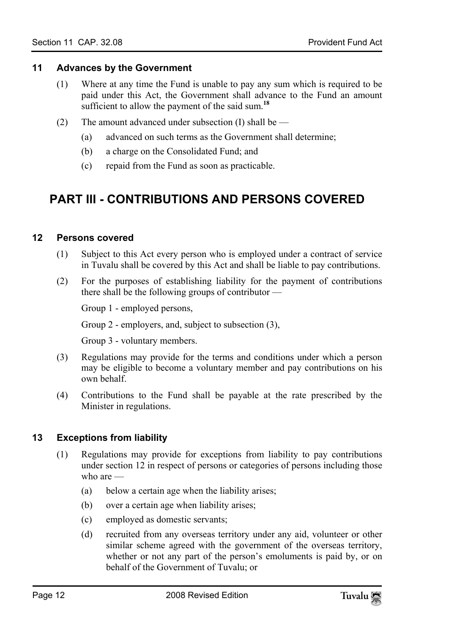#### **11 Advances by the Government**

- <span id="page-11-0"></span>(1) Where at any time the Fund is unable to pay any sum which is required to be paid under this Act, the Government shall advance to the Fund an amount sufficient to allow the payment of the said sum.**<sup>18</sup>**
- <span id="page-11-1"></span>(2) The amount advanced under subsection (I) shall be —
	- (a) advanced on such terms as the Government shall determine;
	- (b) a charge on the Consolidated Fund; and
	- (c) repaid from the Fund as soon as practicable.

# <span id="page-11-2"></span>**PART III - CONTRIBUTIONS AND PERSONS COVERED**

#### **12 Persons covered**

- (1) Subject to this Act every person who is employed under a contract of service in Tuvalu shall be covered by this Act and shall be liable to pay contributions.
- (2) For the purposes of establishing liability for the payment of contributions there shall be the following groups of contributor —

Group 1 - employed persons,

Group 2 - employers, and, subject to subsection (3),

Group 3 - voluntary members.

- (3) Regulations may provide for the terms and conditions under which a person may be eligible to become a voluntary member and pay contributions on his own behalf.
- <span id="page-11-3"></span>(4) Contributions to the Fund shall be payable at the rate prescribed by the Minister in regulations.

#### **13 Exceptions from liability**

- (1) Regulations may provide for exceptions from liability to pay contributions under section 12 in respect of persons or categories of persons including those who are —
	- (a) below a certain age when the liability arises;
	- (b) over a certain age when liability arises;
	- (c) employed as domestic servants;
	- (d) recruited from any overseas territory under any aid, volunteer or other similar scheme agreed with the government of the overseas territory, whether or not any part of the person's emoluments is paid by, or on behalf of the Government of Tuvalu; or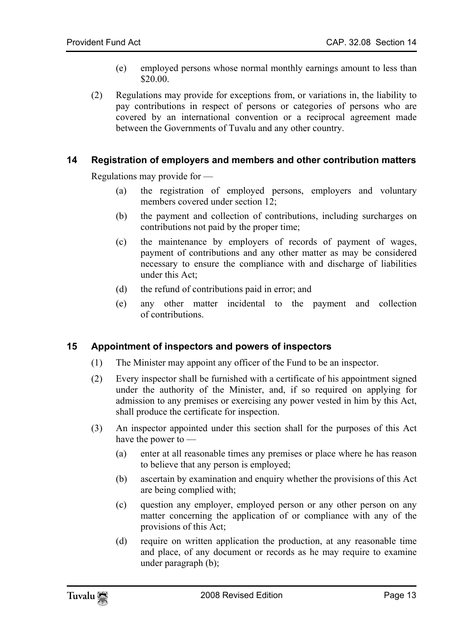- (e) employed persons whose normal monthly earnings amount to less than \$20.00.
- <span id="page-12-0"></span>(2) Regulations may provide for exceptions from, or variations in, the liability to pay contributions in respect of persons or categories of persons who are covered by an international convention or a reciprocal agreement made between the Governments of Tuvalu and any other country.

#### **14 Registration of employers and members and other contribution matters**

Regulations may provide for —

- (a) the registration of employed persons, employers and voluntary members covered under section 12;
- (b) the payment and collection of contributions, including surcharges on contributions not paid by the proper time;
- (c) the maintenance by employers of records of payment of wages, payment of contributions and any other matter as may be considered necessary to ensure the compliance with and discharge of liabilities under this Act;
- <span id="page-12-1"></span>(d) the refund of contributions paid in error; and
- (e) any other matter incidental to the payment and collection of contributions.

#### **15 Appointment of inspectors and powers of inspectors**

- (1) The Minister may appoint any officer of the Fund to be an inspector.
- (2) Every inspector shall be furnished with a certificate of his appointment signed under the authority of the Minister, and, if so required on applying for admission to any premises or exercising any power vested in him by this Act, shall produce the certificate for inspection.
- (3) An inspector appointed under this section shall for the purposes of this Act have the power to —
	- (a) enter at all reasonable times any premises or place where he has reason to believe that any person is employed;
	- (b) ascertain by examination and enquiry whether the provisions of this Act are being complied with;
	- (c) question any employer, employed person or any other person on any matter concerning the application of or compliance with any of the provisions of this Act;
	- (d) require on written application the production, at any reasonable time and place, of any document or records as he may require to examine under paragraph (b);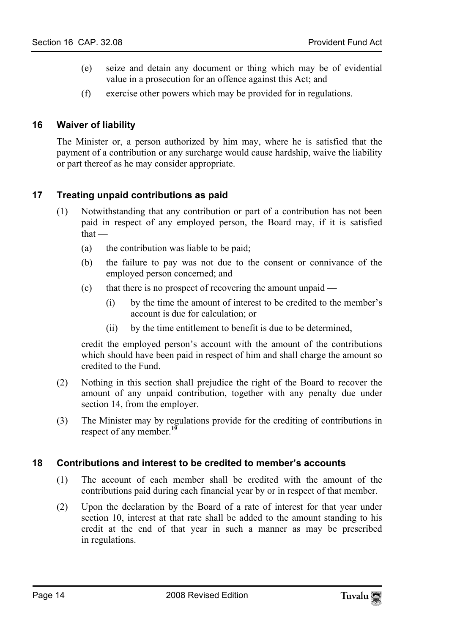- <span id="page-13-0"></span>(e) seize and detain any document or thing which may be of evidential value in a prosecution for an offence against this Act; and
- (f) exercise other powers which may be provided for in regulations.

#### **16 Waiver of liability**

<span id="page-13-1"></span>The Minister or, a person authorized by him may, where he is satisfied that the payment of a contribution or any surcharge would cause hardship, waive the liability or part thereof as he may consider appropriate.

#### **17 Treating unpaid contributions as paid**

- (1) Notwithstanding that any contribution or part of a contribution has not been paid in respect of any employed person, the Board may, if it is satisfied that —
	- (a) the contribution was liable to be paid;
	- (b) the failure to pay was not due to the consent or connivance of the employed person concerned; and
	- (c) that there is no prospect of recovering the amount unpaid
		- (i) by the time the amount of interest to be credited to the member's account is due for calculation; or
		- (ii) by the time entitlement to benefit is due to be determined,

credit the employed person's account with the amount of the contributions which should have been paid in respect of him and shall charge the amount so credited to the Fund.

- (2) Nothing in this section shall prejudi[ce](#page-27-5) the right of the Board to recover the amount of any unpaid contribution, together with any penalty due under section 14, from the employer.
- <span id="page-13-2"></span>(3) The Minister may by regulations provide for the crediting of contributions in respect of any member.**<sup>19</sup>**

#### **18 Contributions and interest to be credited to member's accounts**

- (1) The account of each member shall be credited with the amount of the contributions paid during each financial year by or in respect of that member.
- (2) Upon the declaration by the Board of a rate of interest for that year under section 10, interest at that rate shall be added to the amount standing to his credit at the end of that year in such a manner as may be prescribed in regulations.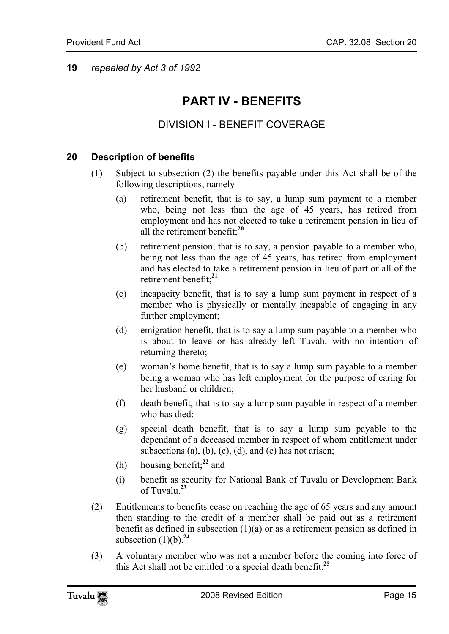<span id="page-14-0"></span>**19** *repealed by Act 3 of 1992*

# **PART IV - BENEFITS**

### <span id="page-14-1"></span>DIVISION I - BENEFIT COVERAGE

#### **20 Description of benefits**

- (1) Subject to subsection (2) the benefits payabl[e u](#page-27-6)nder this Act shall be of the following descriptions, namely —
	- (a) retirement benefit, that is to say, a lump sum payment to a member who, being not less than the age of 45 years, has retired from employment and has not elected [to](#page-27-7) take a retirement pension in lieu of all the retirement benefit;**<sup>20</sup>**
	- (b) retirement pension, that is to say, a pension payable to a member who, being not less than the age of 45 years, has retired from employment and has elected to take a retirement pension in lieu of part or all of the retirement benefit;**<sup>21</sup>**
	- (c) incapacity benefit, that is to say a lump sum payment in respect of a member who is physically or mentally incapable of engaging in any further employment;
	- (d) emigration benefit, that is to say a lump sum payable to a member who is about to leave or has already left Tuvalu with no intention of returning thereto;
	- (e) woman's home benefit, that is to say a lump sum payable to a member being a woman who has left employment for the purpose of caring for her husband or children;
	- (f) death benefit, that is to say a l[um](#page-27-8)p sum payable in respect of a member who has died;
	- (g) special death benefit, that is to say a lump sum payable to the dependant of a deceased [me](#page-27-9)mber in respect of whom entitlement under subsections (a), (b), (c), (d), and (e) has not arisen;
	- (h) housing benefit;**<sup>22</sup>** and
	- (i) benefit as security for N[atio](#page-27-10)nal Bank of Tuvalu or Development Bank of Tuvalu.**<sup>23</sup>**
- (2) Entitlements to benefits cease on reaching the age of 65 years and any amount then standing to the credit of a member shall be paid out as a [reti](#page-27-11)rement benefit as defined in subsection  $(1)(a)$  or as a retirement pension as defined in subsection  $(1)(b)$ .<sup>24</sup>
- (3) A voluntary member who was not a member before the coming into force of this Act shall not be entitled to a special death benefit.**<sup>25</sup>**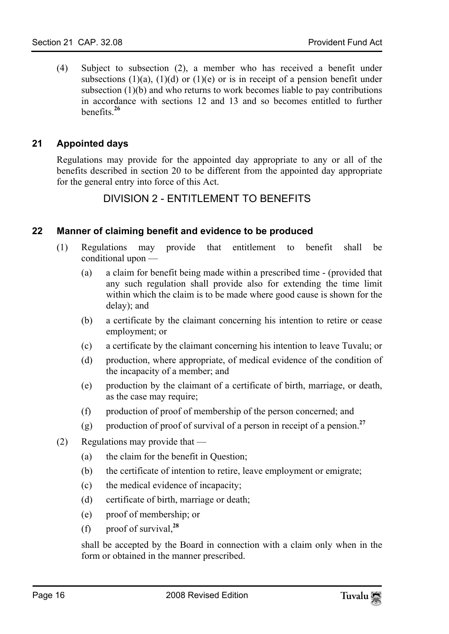<span id="page-15-0"></span>(4) Subject to subsection [\(2](#page-27-12)), a member who has received a benefit under subsections  $(1)(a)$ ,  $(1)(d)$  or  $(1)(e)$  or is in receipt of a pension benefit under subsection (1)(b) and who returns to work becomes liable to pay contributions in accordance with sections 12 and 13 and so becomes entitled to further benefits.**<sup>26</sup>**

#### **21 Appointed days**

Regulations may provide for the appointed day appropriate to any or all of the benefits described in section 20 to be different from the appointed day appropriate for the general entry into force of this Act.

### <span id="page-15-2"></span><span id="page-15-1"></span>DIVISION 2 - ENTITLEMENT TO BENEFITS

#### **22 Manner of claiming benefit and evidence to be produced**

- (1) Regulations may provide that entitlement to benefit shall be conditional upon —
	- (a) a claim for benefit being made within a prescribed time (provided that any such regulation shall provide also for extending the time limit within which the claim is to be made where good cause is shown for the delay); and
	- (b) a certificate by the claimant concerning his intention to retire or cease employment; or
	- (c) a certificate by the claimant concerning his intention to leave Tuvalu; or
	- (d) production, where appropriate, of medical evidence of the condition of the incapacity of a member; and
	- (e) production by the claimant of a certificate of birth, marriage, or death, as the case may require;
	- (f) production of proof of membership of the person concerned; and
	- (g) production of proof of survival of a person in receipt of a pension.**<sup>27</sup>**
- (2) Regulations may provide that
	- (a) the claim for the benefit in Question;
	- (b) the certificate of intention to ret[ire](#page-27-13), leave employment or emigrate;
	- (c) the medical evidence of incapacity;
	- (d) certificate of birth, marriage or death;
	- (e) proof of membership; or
	- (f) proof of survival,**<sup>28</sup>**

shall be accepted by the Board in connection with a claim only when in the form or obtained in the manner prescribed.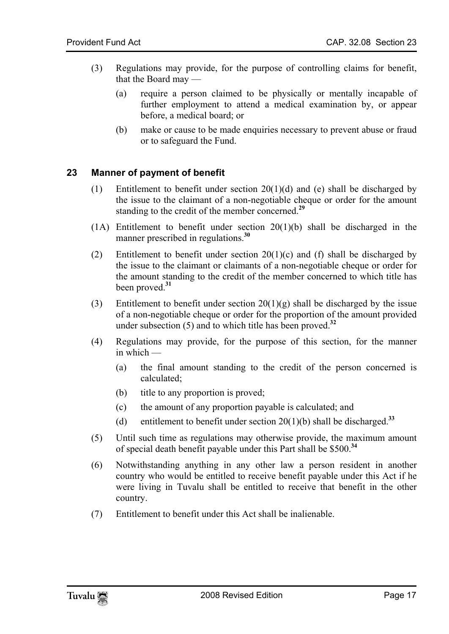- <span id="page-16-0"></span>(3) Regulations may provide, for the purpose of controlling claims for benefit, that the Board may —
	- (a) require a person claimed to be physically or mentally incapable of further employment to attend a medical examination by, or appear before, a medical board; or
	- (b) make or cause to be made enquiries necessary to prevent abuse or fraud or to safeguard the Fund.

#### **23 Manner of payment of benefit**

- (1) Entitlement to benefit u[nd](#page-27-14)er section  $20(1)(d)$  and (e) shall be discharged by the issue to the claimant of a non-negotiable cheque or order for the amount standing to the credit of the member concerned.**<sup>29</sup>**
- $(1)$  Entitlement to benefit under section  $20(1)(b)$  shall be discharged in the manner prescribed in regul[atio](#page-27-15)ns.**<sup>30</sup>**
- (2) Entitlement to benefit under section  $20(1)(c)$  and (f) shall be discharged by the issue to the claimant or claimants of a non-negotiable cheque or order for the amount standing to the credit of the member concerned to which [titl](#page-27-16)e has been proved.**<sup>31</sup>**
- (3) Entitlement to benefit under section  $20(1)(g)$  shall be discharged by the issue of a non-negotiable cheque or order for the proportion of the amount provided under subsection (5) and to which title has been proved.**<sup>32</sup>**
- (4) Regulations may provide, for the purpose of this section, for the manner in which —
	- (a) the final amount standing to the credit of the person concerned is calculated;
	- (b) title to any proportion is proved;
	- (c) the amount of any proportion payable is calculated; and
	- (d) entitlement to benefit under section  $20(1)(b)$  shall be discharged.<sup>33</sup>
- (5) Until such time as regulations may otherwise provide, the maximum amount of special death benefit payable under this Part shall be \$500.**<sup>34</sup>**
- (6) Notwithstanding anything in any other law a person resident in another country who would be entitled to receive benefit payable under this Act if he were living in Tuvalu shall be entitled to receive that benefit in the other country.
- (7) Entitlement to benefit under this Act shall be inalienable.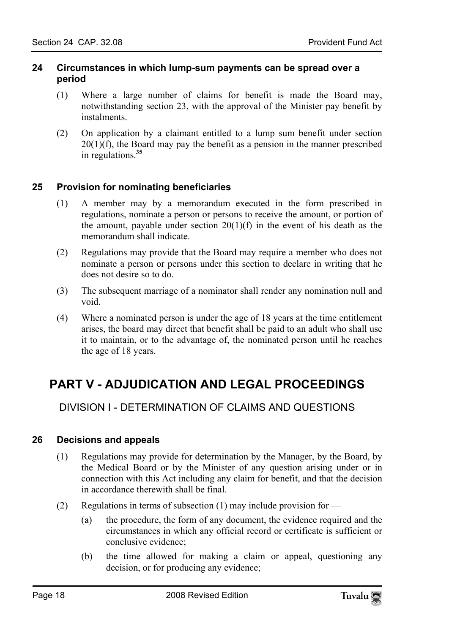#### <span id="page-17-0"></span>**24 Circumstances in which lump-sum payments can be spread over a period**

- (1) Where a large number of claims for benefit is made the Board may, notwithstanding section 23, [wi](#page-27-17)th the approval of the Minister pay benefit by instalments.
- <span id="page-17-1"></span>(2) On application by a claimant entitled to a lump sum benefit under section  $20(1)(f)$ , the Board may pay the benefit as a pension in the manner prescribed in regulations.**<sup>35</sup>**

#### **25 Provision for nominating beneficiaries**

- (1) A member may by a memorandum executed in the form prescribed in regulations, nominate a person or persons to receive the amount, or portion of the amount, payable under section  $20(1)(f)$  in the event of his death as the memorandum shall indicate.
- (2) Regulations may provide that the Board may require a member who does not nominate a person or persons under this section to declare in writing that he does not desire so to do.
- (3) The subsequent marriage of a nominator shall render any nomination null and void.
- <span id="page-17-3"></span><span id="page-17-2"></span>(4) Where a nominated person is under the age of 18 years at the time entitlement arises, the board may direct that benefit shall be paid to an adult who shall use it to maintain, or to the advantage of, the nominated person until he reaches the age of 18 years.

# **PART V - ADJUDICATION AND LEGAL PROCEEDINGS**

<span id="page-17-4"></span>DIVISION I - DETERMINATION OF CLAIMS AND QUESTIONS

#### **26 Decisions and appeals**

- (1) Regulations may provide for determination by the Manager, by the Board, by the Medical Board or by the Minister of any question arising under or in connection with this Act including any claim for benefit, and that the decision in accordance therewith shall be final.
- (2) Regulations in terms of subsection (1) may include provision for
	- (a) the procedure, the form of any document, the evidence required and the circumstances in which any official record or certificate is sufficient or conclusive evidence;
	- (b) the time allowed for making a claim or appeal, questioning any decision, or for producing any evidence;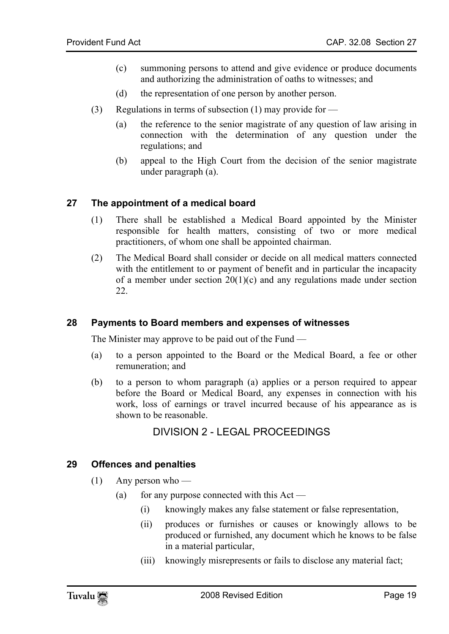- (c) summoning persons to attend and give evidence or produce documents and authorizing the administration of oaths to witnesses; and
- (d) the representation of one person by another person.
- <span id="page-18-0"></span>(3) Regulations in terms of subsection (1) may provide for  $\equiv$ 
	- (a) the reference to the senior magistrate of any question of law arising in connection with the determination of any question under the regulations; and
	- (b) appeal to the High Court from the decision of the senior magistrate under paragraph (a).

#### **27 The appointment of a medical board**

- (1) There shall be established a Medical Board appointed by the Minister responsible for health matters, consisting of two or more medical practitioners, of whom one shall be appointed chairman.
- <span id="page-18-1"></span>(2) The Medical Board shall consider or decide on all medical matters connected with the entitlement to or payment of benefit and in particular the incapacity of a member under section  $20(1)(c)$  and any regulations made under section 22.

#### **28 Payments to Board members and expenses of witnesses**

The Minister may approve to be paid out of the Fund —

- (a) to a person appointed to the Board or the Medical Board, a fee or other remuneration; and
- (b) to a person to whom paragraph (a) applies or a person required to appear before the Board or Medical Board, any expenses in connection with his work, loss of earnings or travel incurred because of his appearance as is shown to be reasonable.

#### <span id="page-18-3"></span><span id="page-18-2"></span>DIVISION 2 - LEGAL PROCEEDINGS

#### **29 Offences and penalties**

- $(1)$  Any person who
	- (a) for any purpose connected with this  $Act -$ 
		- (i) knowingly makes any false statement or false representation,
		- (ii) produces or furnishes or causes or knowingly allows to be produced or furnished, any document which he knows to be false in a material particular,
		- (iii) knowingly misrepresents or fails to disclose any material fact;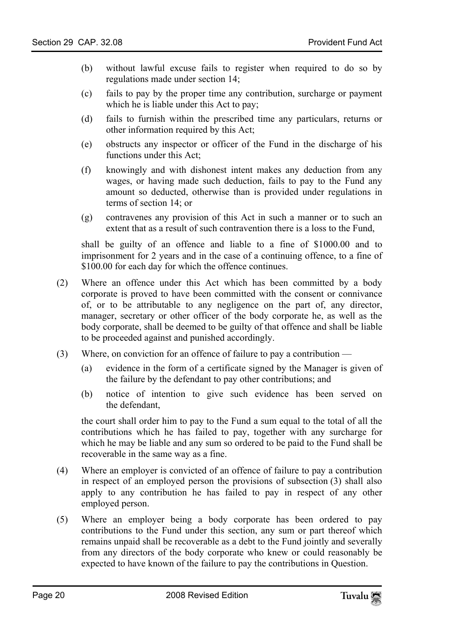- (b) without lawful excuse fails to register when required to do so by regulations made under section 14;
- (c) fails to pay by the proper time any contribution, surcharge or payment which he is liable under this Act to pay;
- (d) fails to furnish within the prescribed time any particulars, returns or other information required by this Act;
- (e) obstructs any inspector or officer of the Fund in the discharge of his functions under this Act;
- (f) knowingly and with dishonest intent makes any deduction from any wages, or having made such deduction, fails to pay to the Fund any amount so deducted, otherwise than is provided under regulations in terms of section 14; or
- (g) contravenes any provision of this Act in such a manner or to such an extent that as a result of such contravention there is a loss to the Fund,

shall be guilty of an offence and liable to a fine of \$1000.00 and to imprisonment for 2 years and in the case of a continuing offence, to a fine of \$100.00 for each day for which the offence continues.

- (2) Where an offence under this Act which has been committed by a body corporate is proved to have been committed with the consent or connivance of, or to be attributable to any negligence on the part of, any director, manager, secretary or other officer of the body corporate he, as well as the body corporate, shall be deemed to be guilty of that offence and shall be liable to be proceeded against and punished accordingly.
- (3) Where, on conviction for an offence of failure to pay a contribution
	- (a) evidence in the form of a certificate signed by the Manager is given of the failure by the defendant to pay other contributions; and
	- (b) notice of intention to give such evidence has been served on the defendant,

the court shall order him to pay to the Fund a sum equal to the total of all the contributions which he has failed to pay, together with any surcharge for which he may be liable and any sum so ordered to be paid to the Fund shall be recoverable in the same way as a fine.

- (4) Where an employer is convicted of an offence of failure to pay a contribution in respect of an employed person the provisions of subsection (3) shall also apply to any contribution he has failed to pay in respect of any other employed person.
- (5) Where an employer being a body corporate has been ordered to pay contributions to the Fund under this section, any sum or part thereof which remains unpaid shall be recoverable as a debt to the Fund jointly and severally from any directors of the body corporate who knew or could reasonably be expected to have known of the failure to pay the contributions in Question.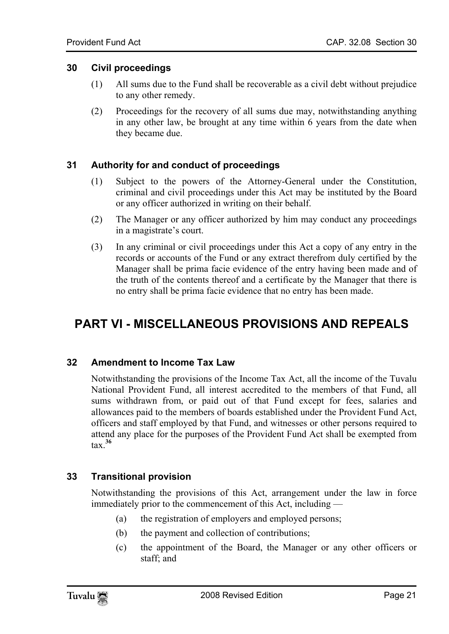#### **30 Civil proceedings**

- <span id="page-20-0"></span>(1) All sums due to the Fund shall be recoverable as a civil debt without prejudice to any other remedy.
- <span id="page-20-1"></span>(2) Proceedings for the recovery of all sums due may, notwithstanding anything in any other law, be brought at any time within 6 years from the date when they became due.

#### **31 Authority for and conduct of proceedings**

- (1) Subject to the powers of the Attorney-General under the Constitution, criminal and civil proceedings under this Act may be instituted by the Board or any officer authorized in writing on their behalf.
- (2) The Manager or any officer authorized by him may conduct any proceedings in a magistrate's court.
- <span id="page-20-2"></span>(3) In any criminal or civil proceedings under this Act a copy of any entry in the records or accounts of the Fund or any extract therefrom duly certified by the Manager shall be prima facie evidence of the entry having been made and of the truth of the contents thereof and a certificate by the Manager that there is no entry shall be prima facie evidence that no entry has been made.

# <span id="page-20-3"></span>**PART VI - MISCELLANEOUS PROVISIONS AND REPEALS**

#### **32 Amendment to Income Tax Law**

<span id="page-20-4"></span>Notwithstanding the provisions of the Income Tax Act, all the income of the Tuvalu National Provide[nt F](#page-27-18)und, all interest accredited to the members of that Fund, all sums withdrawn from, or paid out of that Fund except for fees, salaries and allowances paid to the members of boards established under the Provident Fund Act, officers and staff employed by that Fund, and witnesses or other persons required to attend any place for the purposes of the Provident Fund Act shall be exempted from tax.**<sup>36</sup>**

#### **33 Transitional provision**

Notwithstanding the provisions of this Act, arrangement under the law in force immediately prior to the commencement of this Act, including —

- (a) the registration of employers and employed persons;
- (b) the payment and collection of contributions;
- (c) the appointment of the Board, the Manager or any other officers or staff; and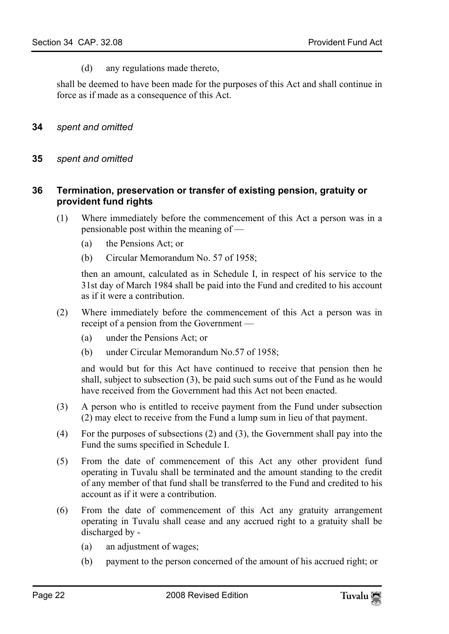<span id="page-21-1"></span><span id="page-21-0"></span>(d) any regulations made thereto,

shall be deemed to have been made for the purposes of this Act and shall continue in force as if made as a consequence of this Act.

- <span id="page-21-2"></span>**34** *spent and omitted*
- **35** *spent and omitted*

#### **36 Termination, preservation or transfer of existing pension, gratuity or provident fund rights**

- (1) Where immediately before the commencement of this Act a person was in a pensionable post within the meaning of —
	- (a) the Pensions Act; or
	- (b) Circular Memorandum No. 57 of 1958;

then an amount, calculated as in Schedule I, in respect of his service to the 31st day of March 1984 shall be paid into the Fund and credited to his account as if it were a contribution.

- (2) Where immediately before the commencement of this Act a person was in receipt of a pension from the Government —
	- (a) under the Pensions Act; or
	- (b) under Circular Memorandum No.57 of 1958;

and would but for this Act have continued to receive that pension then he shall, subject to subsection (3), be paid such sums out of the Fund as he would have received from the Government had this Act not been enacted.

- (3) A person who is entitled to receive payment from the Fund under subsection (2) may elect to receive from the Fund a lump sum in lieu of that payment.
- (4) For the purposes of subsections (2) and (3), the Government shall pay into the Fund the sums specified in Schedule I.
- (5) From the date of commencement of this Act any other provident fund operating in Tuvalu shall be terminated and the amount standing to the credit of any member of that fund shall be transferred to the Fund and credited to his account as if it were a contribution.
- (6) From the date of commencement of this Act any gratuity arrangement operating in Tuvalu shall cease and any accrued right to a gratuity shall be discharged by -
	- (a) an adjustment of wages;
	- (b) payment to the person concerned of the amount of his accrued right; or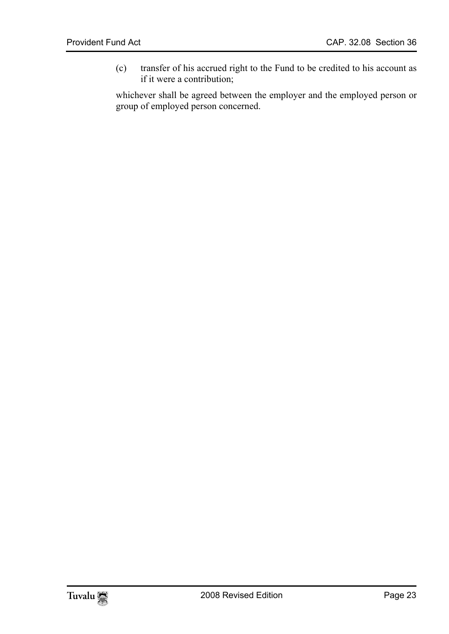(c) transfer of his accrued right to the Fund to be credited to his account as if it were a contribution;

whichever shall be agreed between the employer and the employed person or group of employed person concerned.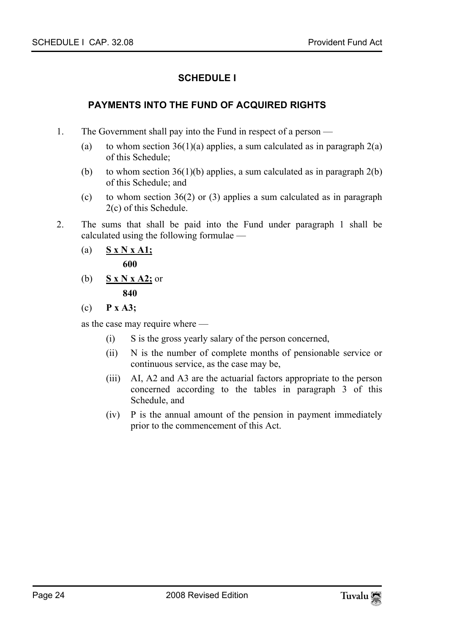### **SCHEDULE I**

### **PAYMENTS INTO THE FUND OF ACQUIRED RIGHTS**

- 1. The Government shall pay into the Fund in respect of a person
	- (a) to whom section  $36(1)(a)$  applies, a sum calculated as in paragraph  $2(a)$ of this Schedule;
	- (b) to whom section  $36(1)(b)$  applies, a sum calculated as in paragraph  $2(b)$ of this Schedule; and
	- (c) to whom section 36(2) or (3) applies a sum calculated as in paragraph 2(c) of this Schedule.
- 2. The sums that shall be paid into the Fund under paragraph 1 shall be calculated using the following formulae —
	- (a) **S x N x A1; 600**
	- (b) **S x N x A2;** or  **840**
	- (c) **P x A3;**

as the case may require where —

- (i) S is the gross yearly salary of the person concerned,
- (ii) N is the number of complete months of pensionable service or continuous service, as the case may be,
- (iii) AI, A2 and A3 are the actuarial factors appropriate to the person concerned according to the tables in paragraph 3 of this Schedule, and
- (iv) P is the annual amount of the pension in payment immediately prior to the commencement of this Act.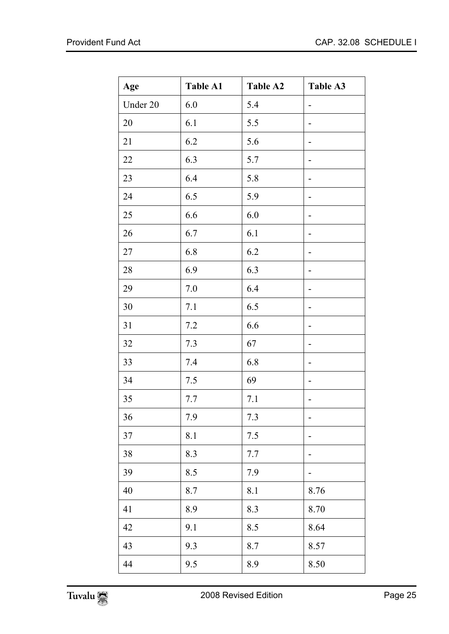| Age      | <b>Table A1</b> | <b>Table A2</b> | Table A3 |
|----------|-----------------|-----------------|----------|
| Under 20 | 6.0             | 5.4             |          |
| 20       | 6.1             | 5.5             |          |
| 21       | 6.2             | 5.6             |          |
| 22       | 6.3             | 5.7             |          |
| 23       | 6.4             | 5.8             |          |
| 24       | 6.5             | 5.9             |          |
| 25       | 6.6             | 6.0             |          |
| 26       | 6.7             | 6.1             |          |
| 27       | 6.8             | 6.2             |          |
| 28       | 6.9             | 6.3             |          |
| 29       | 7.0             | 6.4             |          |
| 30       | 7.1             | 6.5             |          |
| 31       | 7.2             | 6.6             | -        |
| 32       | 7.3             | 67              |          |
| 33       | 7.4             | 6.8             |          |
| 34       | 7.5             | 69              |          |
| 35       | 7.7             | 7.1             |          |
| 36       | 7.9             | 7.3             |          |
| 37       | 8.1             | 7.5             |          |
| 38       | 8.3             | 7.7             |          |
| 39       | 8.5             | 7.9             |          |
| 40       | 8.7             | 8.1             | 8.76     |
| 41       | 8.9             | 8.3             | 8.70     |
| 42       | 9.1             | 8.5             | 8.64     |
| 43       | 9.3             | 8.7             | 8.57     |
| 44       | 9.5             | 8.9             | 8.50     |

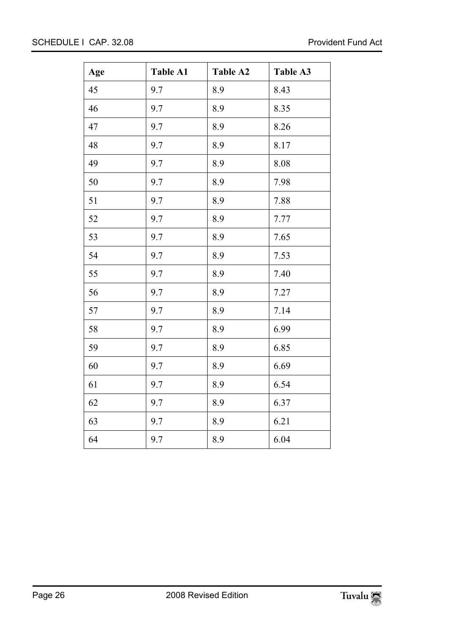| Age | <b>Table A1</b> | Table A2 | Table A3 |
|-----|-----------------|----------|----------|
| 45  | 9.7             | 8.9      | 8.43     |
| 46  | 9.7             | 8.9      | 8.35     |
| 47  | 9.7             | 8.9      | 8.26     |
| 48  | 9.7             | 8.9      | 8.17     |
| 49  | 9.7             | 8.9      | 8.08     |
| 50  | 9.7             | 8.9      | 7.98     |
| 51  | 9.7             | 8.9      | 7.88     |
| 52  | 9.7             | 8.9      | 7.77     |
| 53  | 9.7             | 8.9      | 7.65     |
| 54  | 9.7             | 8.9      | 7.53     |
| 55  | 9.7             | 8.9      | 7.40     |
| 56  | 9.7             | 8.9      | 7.27     |
| 57  | 9.7             | 8.9      | 7.14     |
| 58  | 9.7             | 8.9      | 6.99     |
| 59  | 9.7             | 8.9      | 6.85     |
| 60  | 9.7             | 8.9      | 6.69     |
| 61  | 9.7             | 8.9      | 6.54     |
| 62  | 9.7             | 8.9      | 6.37     |
| 63  | 9.7             | 8.9      | 6.21     |
| 64  | 9.7             | 8.9      | 6.04     |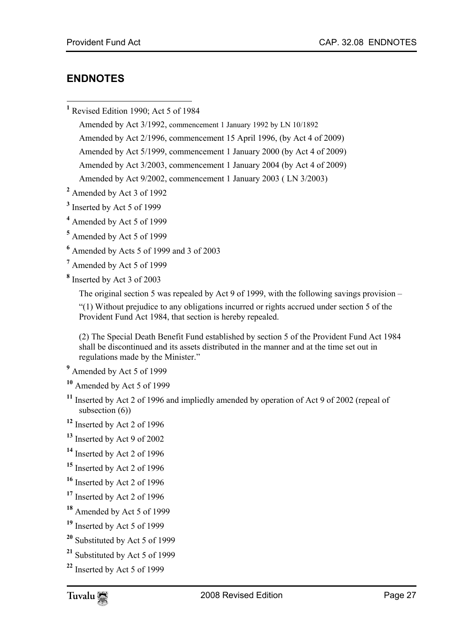### <span id="page-26-0"></span>**ENDNOTES**

 $\overline{a}$ 

**1** Revised Edition 1990; Act 5 of 1984

Amended by Act 3/1992, commencement 1 January 1992 by LN 10/1892 Amended by Act 2/1996, commencement 15 April 1996, (by Act 4 of 2009) Amended by Act 5/1999, commencement 1 January 2000 (by Act 4 of 2009) Amended by Act 3/2003, commencement 1 January 2004 (by Act 4 of 2009) Amended by Act 9/2002, commencement 1 January 2003 ( LN 3/2003)

**2** Amended by Act 3 of 1992

<sup>3</sup> Inserted by Act 5 of 1999

**4** Amended by Act 5 of 1999

**5** Amended by Act 5 of 1999

**6** Amended by Acts 5 of 1999 and 3 of 2003

- **7** Amended by Act 5 of 1999
- **8** Inserted by Act 3 of 2003

The original section 5 was repealed by Act 9 of 1999, with the following savings provision –

 "(1) Without prejudice to any obligations incurred or rights accrued under section 5 of the Provident Fund Act 1984, that section is hereby repealed.

(2) The Special Death Benefit Fund established by section 5 of the Provident Fund Act 1984 shall be discontinued and its assets distributed in the manner and at the time set out in regulations made by the Minister."

- <sup>9</sup> Amended by Act 5 of 1999
- **<sup>10</sup>** Amended by Act 5 of 1999
- **<sup>11</sup>** Inserted by Act 2 of 1996 and impliedly amended by operation of Act 9 of 2002 (repeal of subsection  $(6)$ )
- **<sup>12</sup>** Inserted by Act 2 of 1996
- **<sup>13</sup>** Inserted by Act 9 of 2002
- **<sup>14</sup>** Inserted by Act 2 of 1996
- **<sup>15</sup>** Inserted by Act 2 of 1996
- **<sup>16</sup>** Inserted by Act 2 of 1996
- **<sup>17</sup>** Inserted by Act 2 of 1996
- **<sup>18</sup>** Amended by Act 5 of 1999
- **<sup>19</sup>** Inserted by Act 5 of 1999
- **<sup>20</sup>** Substituted by Act 5 of 1999
- **<sup>21</sup>** Substituted by Act 5 of 1999
- **<sup>22</sup>** Inserted by Act 5 of 1999